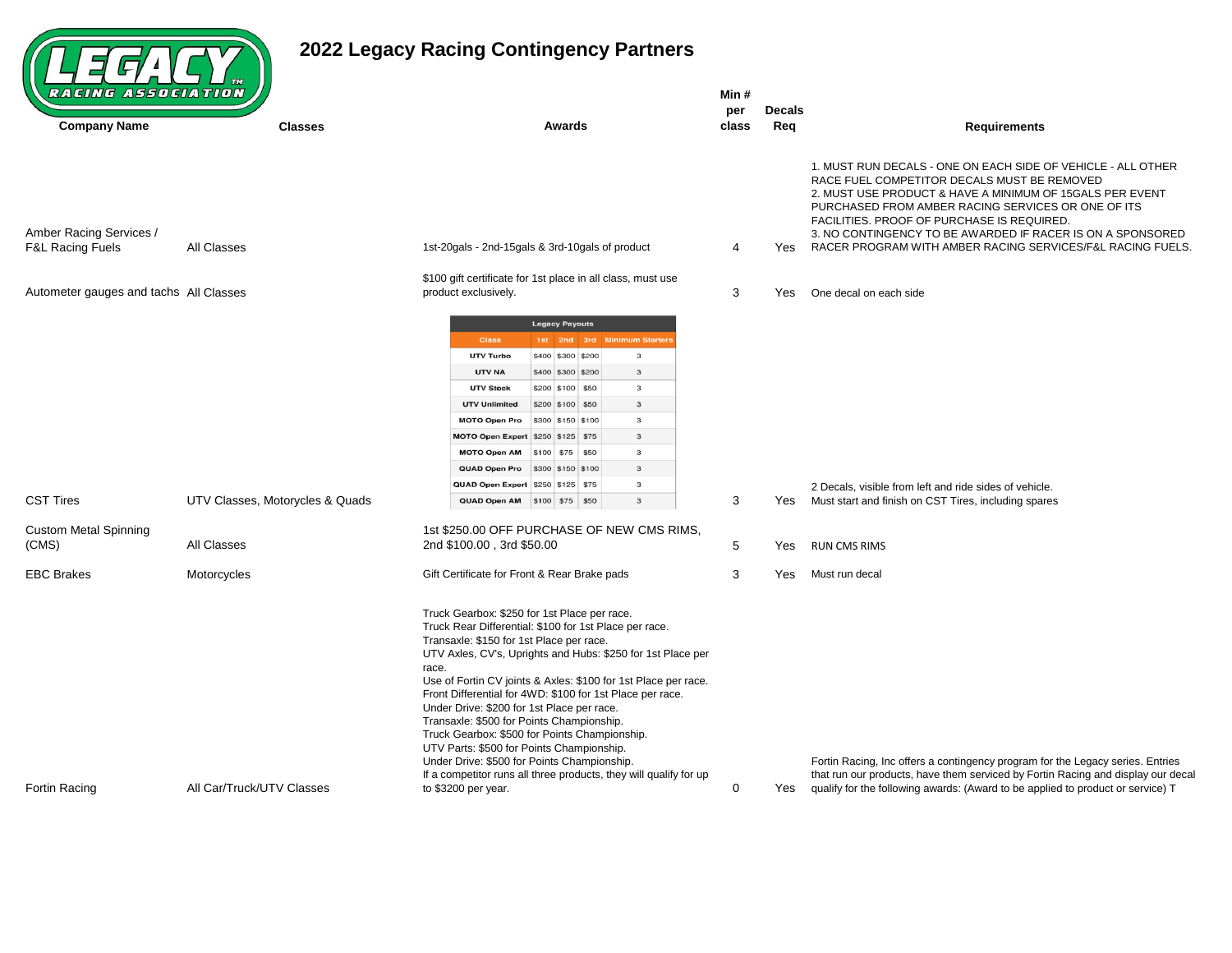## $(LFFACT)$

## **2022 Legacy Racing Contingency Partners**

| <b>Classes</b>                  | <b>Awards</b>                                                                                                                                                                                                                                                                                                                                                                                                                                                                                                                                                                                                                                                          | per<br>class                                                                               | <b>Decals</b><br>Req | <b>Requirements</b>                                                                                                                                                                                                                                                                                                                       |
|---------------------------------|------------------------------------------------------------------------------------------------------------------------------------------------------------------------------------------------------------------------------------------------------------------------------------------------------------------------------------------------------------------------------------------------------------------------------------------------------------------------------------------------------------------------------------------------------------------------------------------------------------------------------------------------------------------------|--------------------------------------------------------------------------------------------|----------------------|-------------------------------------------------------------------------------------------------------------------------------------------------------------------------------------------------------------------------------------------------------------------------------------------------------------------------------------------|
|                                 |                                                                                                                                                                                                                                                                                                                                                                                                                                                                                                                                                                                                                                                                        |                                                                                            |                      | 1. MUST RUN DECALS - ONE ON EACH SIDE OF VEHICLE - ALL OTHER<br>RACE FUEL COMPETITOR DECALS MUST BE REMOVED<br>2. MUST USE PRODUCT & HAVE A MINIMUM OF 15GALS PER EVENT<br>PURCHASED FROM AMBER RACING SERVICES OR ONE OF ITS<br>FACILITIES. PROOF OF PURCHASE IS REQUIRED.<br>3. NO CONTINGENCY TO BE AWARDED IF RACER IS ON A SPONSORED |
|                                 | 1st-20gals - 2nd-15gals & 3rd-10gals of product                                                                                                                                                                                                                                                                                                                                                                                                                                                                                                                                                                                                                        | 4                                                                                          | Yes                  | RACER PROGRAM WITH AMBER RACING SERVICES/F&L RACING FUELS.                                                                                                                                                                                                                                                                                |
|                                 | \$100 gift certificate for 1st place in all class, must use<br>product exclusively.                                                                                                                                                                                                                                                                                                                                                                                                                                                                                                                                                                                    | 3                                                                                          | Yes                  | One decal on each side                                                                                                                                                                                                                                                                                                                    |
| UTV Classes, Motorycles & Quads | 1st 2nd 3rd Minimum Starters<br><b>Class</b><br>\$400 \$300 \$200<br>UTV Turbo<br>3<br>UTV NA<br>\$400 \$300 \$200<br>3<br><b>UTV Stock</b><br>3<br>\$200 \$100 \$50<br><b>UTV Unlimited</b><br>\$200 \$100 \$50<br>3<br>\$300 \$150 \$100<br>3<br><b>MOTO Open Pro</b><br>3<br><b>MOTO Open Expert</b><br>\$250 \$125 \$75<br><b>MOTO Open AM</b><br>$$100$ \$75 \$50<br>3<br>QUAD Open Pro<br>\$300 \$150 \$100<br>$\mathbf{3}$<br>$\mathbf{3}$<br>QUAD Open Expert \$250 \$125 \$75<br>QUAD Open AM \$100 \$75 \$50<br>$\mathbf{3}$                                                                                                                                 | 3                                                                                          | Yes                  | 2 Decals, visible from left and ride sides of vehicle.<br>Must start and finish on CST Tires, including spares                                                                                                                                                                                                                            |
| All Classes                     | 2nd \$100.00, 3rd \$50.00                                                                                                                                                                                                                                                                                                                                                                                                                                                                                                                                                                                                                                              | 5                                                                                          | Yes                  | <b>RUN CMS RIMS</b>                                                                                                                                                                                                                                                                                                                       |
| Motorcycles                     | Gift Certificate for Front & Rear Brake pads                                                                                                                                                                                                                                                                                                                                                                                                                                                                                                                                                                                                                           | 3                                                                                          | Yes                  | Must run decal                                                                                                                                                                                                                                                                                                                            |
|                                 | Truck Gearbox: \$250 for 1st Place per race.<br>Truck Rear Differential: \$100 for 1st Place per race.<br>Transaxle: \$150 for 1st Place per race.<br>UTV Axles, CV's, Uprights and Hubs: \$250 for 1st Place per<br>race.<br>Use of Fortin CV joints & Axles: \$100 for 1st Place per race.<br>Front Differential for 4WD: \$100 for 1st Place per race.<br>Under Drive: \$200 for 1st Place per race.<br>Transaxle: \$500 for Points Championship.<br>Truck Gearbox: \$500 for Points Championship.<br>UTV Parts: \$500 for Points Championship.<br>Under Drive: \$500 for Points Championship.<br>If a competitor runs all three products, they will qualify for up |                                                                                            |                      | Fortin Racing, Inc offers a contingency program for the Legacy series. Entries<br>that run our products, have them serviced by Fortin Racing and display our decal<br>Yes qualify for the following awards: (Award to be applied to product or service) T                                                                                 |
|                                 | All Classes<br>Autometer gauges and tachs All Classes<br>All Car/Truck/UTV Classes                                                                                                                                                                                                                                                                                                                                                                                                                                                                                                                                                                                     | <b>Legacy Payouts</b><br>1st \$250.00 OFF PURCHASE OF NEW CMS RIMS,<br>to \$3200 per year. | 0                    |                                                                                                                                                                                                                                                                                                                                           |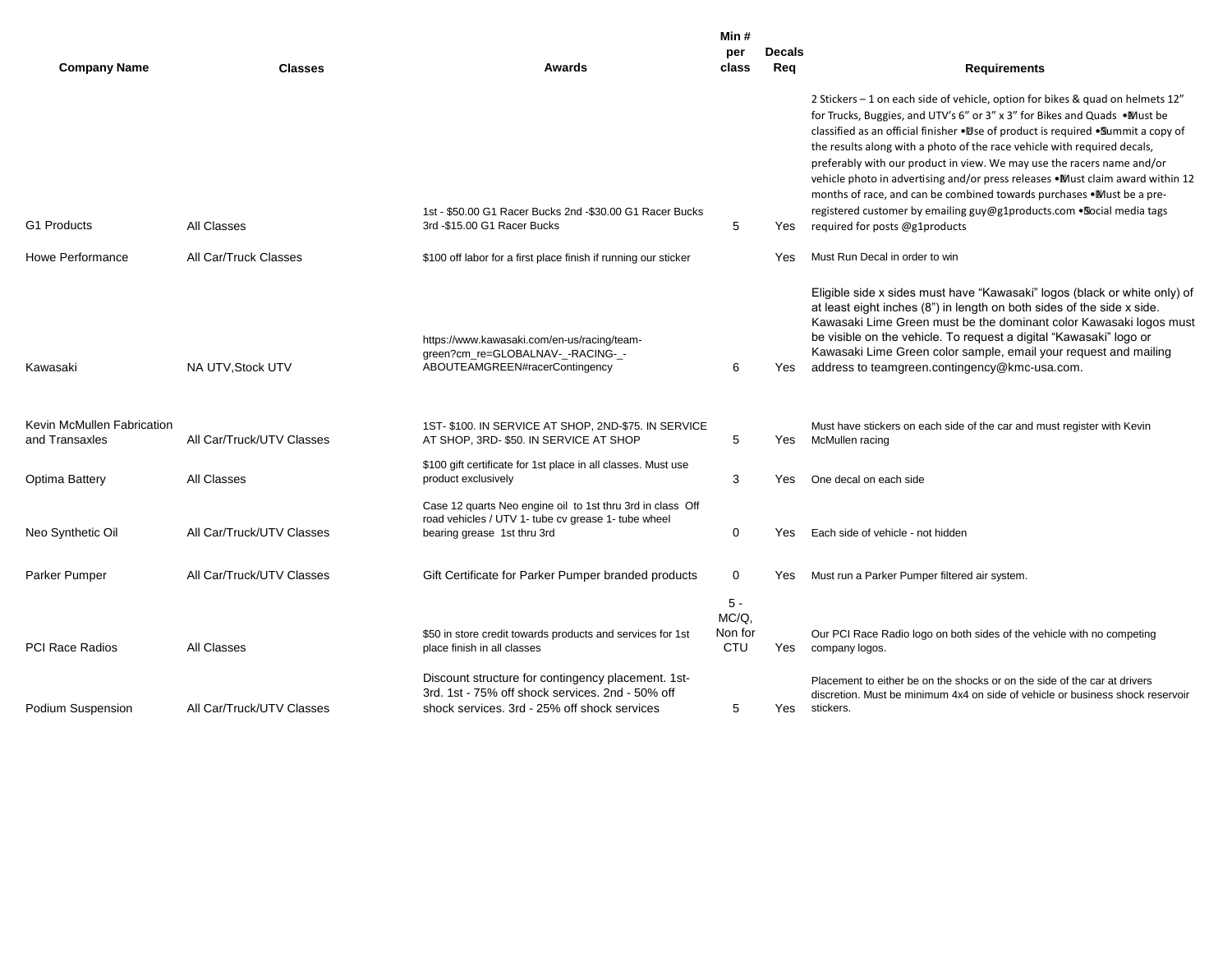| <b>Company Name</b>                          | <b>Classes</b>            | Awards                                                                                                                                                 | Min#<br>per<br>class             | <b>Decals</b><br>Req | <b>Requirements</b>                                                                                                                                                                                                                                                                                                                                                                                                                                                                                                                                                                                                                                                                |
|----------------------------------------------|---------------------------|--------------------------------------------------------------------------------------------------------------------------------------------------------|----------------------------------|----------------------|------------------------------------------------------------------------------------------------------------------------------------------------------------------------------------------------------------------------------------------------------------------------------------------------------------------------------------------------------------------------------------------------------------------------------------------------------------------------------------------------------------------------------------------------------------------------------------------------------------------------------------------------------------------------------------|
| G1 Products                                  | All Classes               | 1st - \$50.00 G1 Racer Bucks 2nd - \$30.00 G1 Racer Bucks<br>3rd -\$15.00 G1 Racer Bucks                                                               | 5                                | Yes                  | 2 Stickers – 1 on each side of vehicle, option for bikes & quad on helmets $12''$<br>for Trucks, Buggies, and UTV's 6" or 3" x 3" for Bikes and Quads •Must be<br>classified as an official finisher • Dse of product is required • Summit a copy of<br>the results along with a photo of the race vehicle with required decals,<br>preferably with our product in view. We may use the racers name and/or<br>vehicle photo in advertising and/or press releases . Must claim award within 12<br>months of race, and can be combined towards purchases •Must be a pre-<br>registered customer by emailing guy@g1products.com . Social media tags<br>required for posts @g1products |
| Howe Performance                             | All Car/Truck Classes     | \$100 off labor for a first place finish if running our sticker                                                                                        |                                  | Yes                  | Must Run Decal in order to win                                                                                                                                                                                                                                                                                                                                                                                                                                                                                                                                                                                                                                                     |
| Kawasaki                                     | NA UTV, Stock UTV         | https://www.kawasaki.com/en-us/racing/team-<br>green?cm_re=GLOBALNAV-_-RACING-_-<br>ABOUTEAMGREEN#racerContingency                                     | 6                                |                      | Eligible side x sides must have "Kawasaki" logos (black or white only) of<br>at least eight inches (8") in length on both sides of the side x side.<br>Kawasaki Lime Green must be the dominant color Kawasaki logos must<br>be visible on the vehicle. To request a digital "Kawasaki" logo or<br>Kawasaki Lime Green color sample, email your request and mailing<br>Yes address to teamgreen.contingency@kmc-usa.com.                                                                                                                                                                                                                                                           |
| Kevin McMullen Fabrication<br>and Transaxles | All Car/Truck/UTV Classes | 1ST-\$100. IN SERVICE AT SHOP, 2ND-\$75. IN SERVICE<br>AT SHOP, 3RD-\$50. IN SERVICE AT SHOP                                                           | 5                                | Yes                  | Must have stickers on each side of the car and must register with Kevin<br>McMullen racing                                                                                                                                                                                                                                                                                                                                                                                                                                                                                                                                                                                         |
| Optima Battery                               | All Classes               | \$100 gift certificate for 1st place in all classes. Must use<br>product exclusively                                                                   | 3                                | Yes.                 | One decal on each side                                                                                                                                                                                                                                                                                                                                                                                                                                                                                                                                                                                                                                                             |
| Neo Synthetic Oil                            | All Car/Truck/UTV Classes | Case 12 quarts Neo engine oil to 1st thru 3rd in class Off<br>road vehicles / UTV 1- tube cv grease 1- tube wheel<br>bearing grease 1st thru 3rd       | $\mathbf 0$                      | Yes                  | Each side of vehicle - not hidden                                                                                                                                                                                                                                                                                                                                                                                                                                                                                                                                                                                                                                                  |
| Parker Pumper                                | All Car/Truck/UTV Classes | Gift Certificate for Parker Pumper branded products                                                                                                    | 0                                | Yes                  | Must run a Parker Pumper filtered air system.                                                                                                                                                                                                                                                                                                                                                                                                                                                                                                                                                                                                                                      |
| <b>PCI Race Radios</b>                       | All Classes               | \$50 in store credit towards products and services for 1st<br>place finish in all classes                                                              | $5 -$<br>MC/Q,<br>Non for<br>CTU | Yes                  | Our PCI Race Radio logo on both sides of the vehicle with no competing<br>company logos.                                                                                                                                                                                                                                                                                                                                                                                                                                                                                                                                                                                           |
| Podium Suspension                            | All Car/Truck/UTV Classes | Discount structure for contingency placement. 1st-<br>3rd, 1st - 75% off shock services, 2nd - 50% off<br>shock services. 3rd - 25% off shock services | 5                                | Yes                  | Placement to either be on the shocks or on the side of the car at drivers<br>discretion. Must be minimum 4x4 on side of vehicle or business shock reservoir<br>stickers.                                                                                                                                                                                                                                                                                                                                                                                                                                                                                                           |